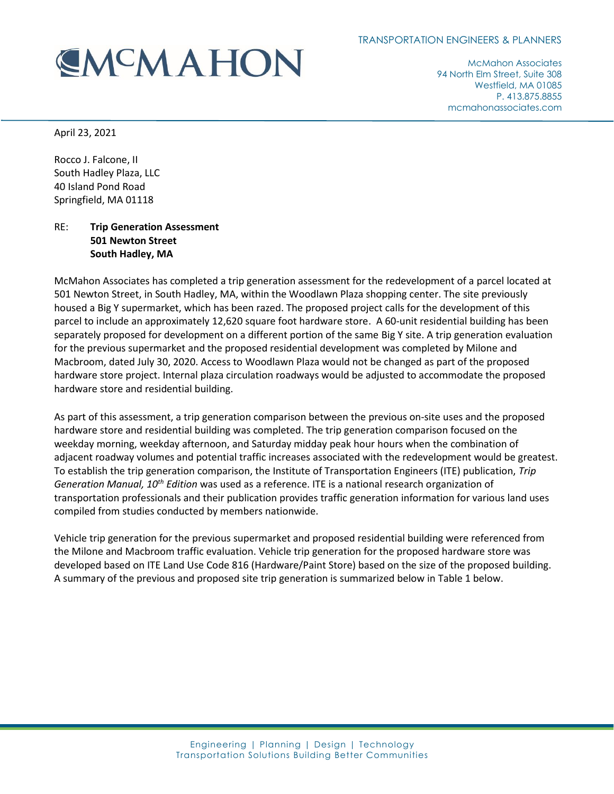## **EMCMAHON**

McMahon Associates 94 North Elm Street, Suite 308 Westfield, MA 01085 P. 413.875.8855 mcmahonassociates.com

April 23, 2021

Rocco J. Falcone, II South Hadley Plaza, LLC 40 Island Pond Road Springfield, MA 01118

## RE: **Trip Generation Assessment 501 Newton Street South Hadley, MA**

McMahon Associates has completed a trip generation assessment for the redevelopment of a parcel located at 501 Newton Street, in South Hadley, MA, within the Woodlawn Plaza shopping center. The site previously housed a Big Y supermarket, which has been razed. The proposed project calls for the development of this parcel to include an approximately 12,620 square foot hardware store. A 60-unit residential building has been separately proposed for development on a different portion of the same Big Y site. A trip generation evaluation for the previous supermarket and the proposed residential development was completed by Milone and Macbroom, dated July 30, 2020. Access to Woodlawn Plaza would not be changed as part of the proposed hardware store project. Internal plaza circulation roadways would be adjusted to accommodate the proposed hardware store and residential building.

As part of this assessment, a trip generation comparison between the previous on-site uses and the proposed hardware store and residential building was completed. The trip generation comparison focused on the weekday morning, weekday afternoon, and Saturday midday peak hour hours when the combination of adjacent roadway volumes and potential traffic increases associated with the redevelopment would be greatest. To establish the trip generation comparison, the Institute of Transportation Engineers (ITE) publication, *Trip Generation Manual, 10th Edition* was used as a reference. ITE is a national research organization of transportation professionals and their publication provides traffic generation information for various land uses compiled from studies conducted by members nationwide.

Vehicle trip generation for the previous supermarket and proposed residential building were referenced from the Milone and Macbroom traffic evaluation. Vehicle trip generation for the proposed hardware store was developed based on ITE Land Use Code 816 (Hardware/Paint Store) based on the size of the proposed building. A summary of the previous and proposed site trip generation is summarized below in [Table 1](#page-1-0) below.